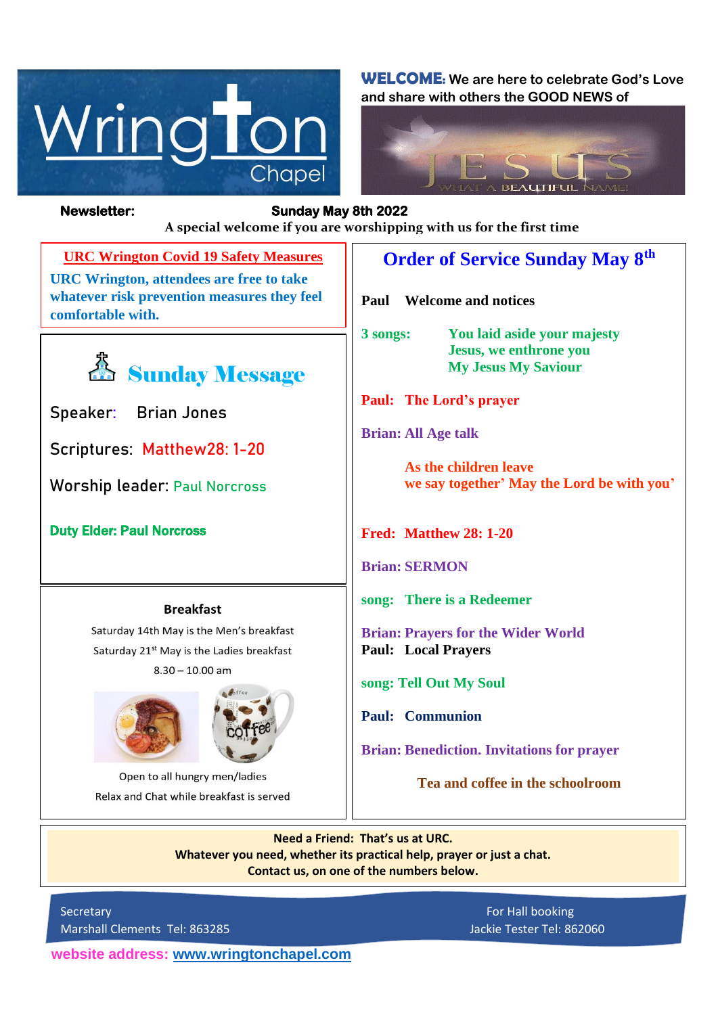

**WELCOME: We are here to celebrate God's Love and share with others the GOOD NEWS of**



**Newsletter: Sunday May 8th 2022** 

*Figure 1ready steady* **A special welcome if you are worshipping with us for the first time**

**URC Wrington Covid 19 Safety Measures URC Wrington, attendees are free to take whatever risk prevention measures they feel comfortable with.**



**Speaker: Brian Jones**

**Scriptures: Matthew28: 1-20**

**Worship leader: Paul Norcross**

Duty Elder: Paul Norcross

#### **Breakfast**

Saturday 14th May is the Men's breakfast Saturday 21<sup>st</sup> May is the Ladies breakfast  $8.30 - 10.00$  am



Open to all hungry men/ladies Relax and Chat while breakfast is served

# **Order of Service Sunday May 8th**

**Paul Welcome and notices**

**3 songs: You laid aside your majesty Jesus, we enthrone you My Jesus My Saviour**

**Paul: The Lord's prayer**

**Brian: All Age talk**

**As the children leave we say together' May the Lord be with you'**

**Fred: Matthew 28: 1-20**

**Brian: SERMON**

**song: There is a Redeemer**

**Brian: Prayers for the Wider World Paul: Local Prayers**

**song: Tell Out My Soul**

**Paul: Communion**

**Brian: Benediction. Invitations for prayer**

**Tea and coffee in the schoolroom**

**Need a Friend: That's us at URC. Whatever you need, whether its practical help, prayer or just a chat. Contact us, on one of the numbers below.**

Secretary **For Hall booking** For Hall booking Marshall Clements Tel: 863285 Jackie Tester Tel: 862060

**website address: [www.wringtonchapel.com](http://www.wringtonchapel.com/)**